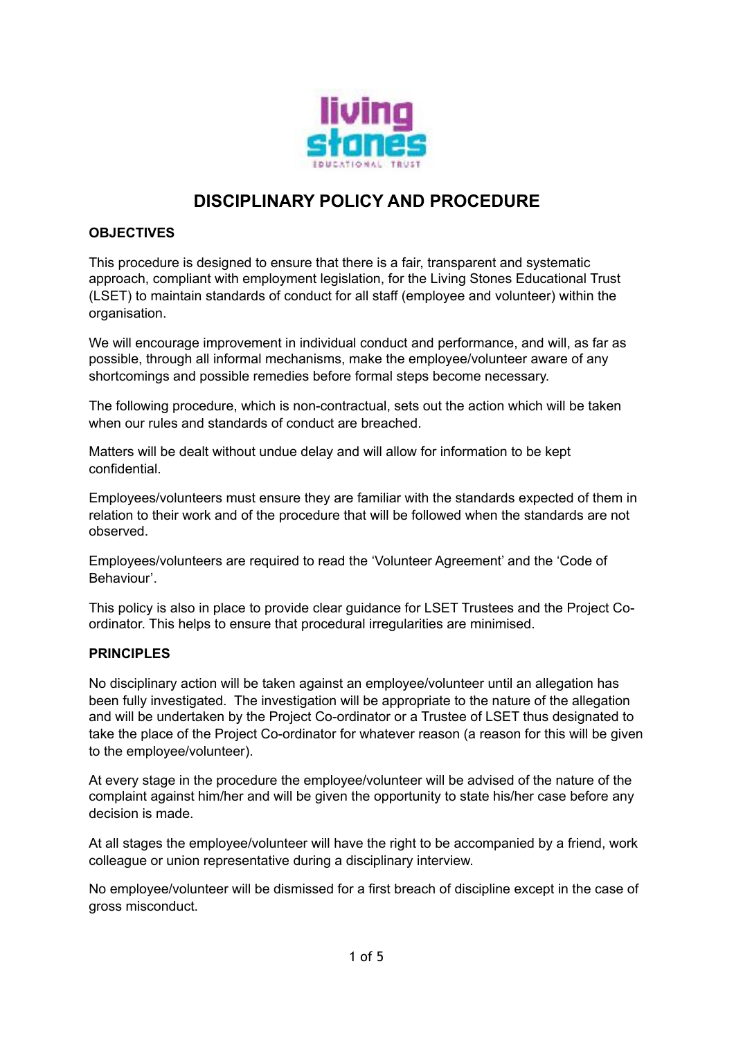

# **DISCIPLINARY POLICY AND PROCEDURE**

# **OBJECTIVES**

This procedure is designed to ensure that there is a fair, transparent and systematic approach, compliant with employment legislation, for the Living Stones Educational Trust (LSET) to maintain standards of conduct for all staff (employee and volunteer) within the organisation.

We will encourage improvement in individual conduct and performance, and will, as far as possible, through all informal mechanisms, make the employee/volunteer aware of any shortcomings and possible remedies before formal steps become necessary.

The following procedure, which is non-contractual, sets out the action which will be taken when our rules and standards of conduct are breached.

Matters will be dealt without undue delay and will allow for information to be kept confidential.

Employees/volunteers must ensure they are familiar with the standards expected of them in relation to their work and of the procedure that will be followed when the standards are not observed.

Employees/volunteers are required to read the 'Volunteer Agreement' and the 'Code of Behaviour'.

This policy is also in place to provide clear guidance for LSET Trustees and the Project Coordinator. This helps to ensure that procedural irregularities are minimised.

#### **PRINCIPLES**

No disciplinary action will be taken against an employee/volunteer until an allegation has been fully investigated. The investigation will be appropriate to the nature of the allegation and will be undertaken by the Project Co-ordinator or a Trustee of LSET thus designated to take the place of the Project Co-ordinator for whatever reason (a reason for this will be given to the employee/volunteer).

At every stage in the procedure the employee/volunteer will be advised of the nature of the complaint against him/her and will be given the opportunity to state his/her case before any decision is made.

At all stages the employee/volunteer will have the right to be accompanied by a friend, work colleague or union representative during a disciplinary interview.

No employee/volunteer will be dismissed for a first breach of discipline except in the case of gross misconduct.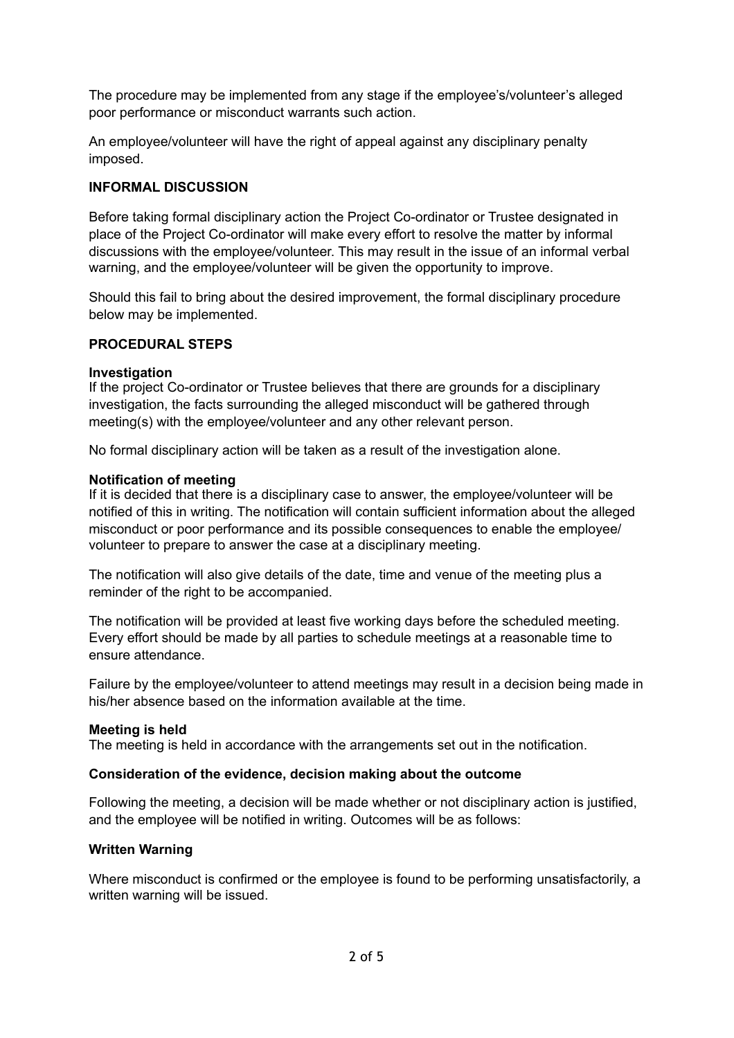The procedure may be implemented from any stage if the employee's/volunteer's alleged poor performance or misconduct warrants such action.

An employee/volunteer will have the right of appeal against any disciplinary penalty imposed.

### **INFORMAL DISCUSSION**

Before taking formal disciplinary action the Project Co-ordinator or Trustee designated in place of the Project Co-ordinator will make every effort to resolve the matter by informal discussions with the employee/volunteer. This may result in the issue of an informal verbal warning, and the employee/volunteer will be given the opportunity to improve.

Should this fail to bring about the desired improvement, the formal disciplinary procedure below may be implemented.

#### **PROCEDURAL STEPS**

#### **Investigation**

If the project Co-ordinator or Trustee believes that there are grounds for a disciplinary investigation, the facts surrounding the alleged misconduct will be gathered through meeting(s) with the employee/volunteer and any other relevant person.

No formal disciplinary action will be taken as a result of the investigation alone.

#### **Notification of meeting**

If it is decided that there is a disciplinary case to answer, the employee/volunteer will be notified of this in writing. The notification will contain sufficient information about the alleged misconduct or poor performance and its possible consequences to enable the employee/ volunteer to prepare to answer the case at a disciplinary meeting.

The notification will also give details of the date, time and venue of the meeting plus a reminder of the right to be accompanied.

The notification will be provided at least five working days before the scheduled meeting. Every effort should be made by all parties to schedule meetings at a reasonable time to ensure attendance.

Failure by the employee/volunteer to attend meetings may result in a decision being made in his/her absence based on the information available at the time.

#### **Meeting is held**

The meeting is held in accordance with the arrangements set out in the notification.

#### **Consideration of the evidence, decision making about the outcome**

Following the meeting, a decision will be made whether or not disciplinary action is justified, and the employee will be notified in writing. Outcomes will be as follows:

#### **Written Warning**

Where misconduct is confirmed or the employee is found to be performing unsatisfactorily, a written warning will be issued.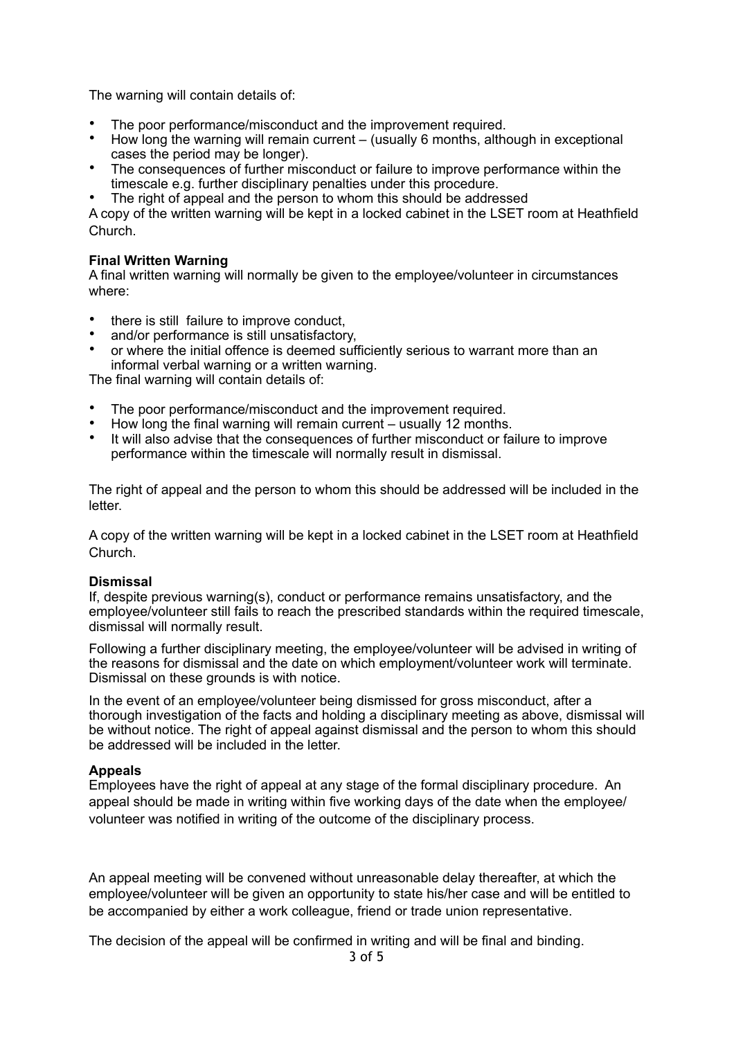The warning will contain details of:

- The poor performance/misconduct and the improvement required.
- How long the warning will remain current (usually 6 months, although in exceptional cases the period may be longer).
- The consequences of further misconduct or failure to improve performance within the timescale e.g. further disciplinary penalties under this procedure.
- The right of appeal and the person to whom this should be addressed

A copy of the written warning will be kept in a locked cabinet in the LSET room at Heathfield Church.

#### **Final Written Warning**

A final written warning will normally be given to the employee/volunteer in circumstances where:

- there is still failure to improve conduct,
- and/or performance is still unsatisfactory,
- or where the initial offence is deemed sufficiently serious to warrant more than an informal verbal warning or a written warning.

The final warning will contain details of:

- The poor performance/misconduct and the improvement required.
- How long the final warning will remain current usually 12 months.
- It will also advise that the consequences of further misconduct or failure to improve performance within the timescale will normally result in dismissal.

The right of appeal and the person to whom this should be addressed will be included in the letter.

A copy of the written warning will be kept in a locked cabinet in the LSET room at Heathfield Church.

#### **Dismissal**

If, despite previous warning(s), conduct or performance remains unsatisfactory, and the employee/volunteer still fails to reach the prescribed standards within the required timescale, dismissal will normally result.

Following a further disciplinary meeting, the employee/volunteer will be advised in writing of the reasons for dismissal and the date on which employment/volunteer work will terminate. Dismissal on these grounds is with notice.

In the event of an employee/volunteer being dismissed for gross misconduct, after a thorough investigation of the facts and holding a disciplinary meeting as above, dismissal will be without notice. The right of appeal against dismissal and the person to whom this should be addressed will be included in the letter.

#### **Appeals**

Employees have the right of appeal at any stage of the formal disciplinary procedure. An appeal should be made in writing within five working days of the date when the employee/ volunteer was notified in writing of the outcome of the disciplinary process.

An appeal meeting will be convened without unreasonable delay thereafter, at which the employee/volunteer will be given an opportunity to state his/her case and will be entitled to be accompanied by either a work colleague, friend or trade union representative.

The decision of the appeal will be confirmed in writing and will be final and binding.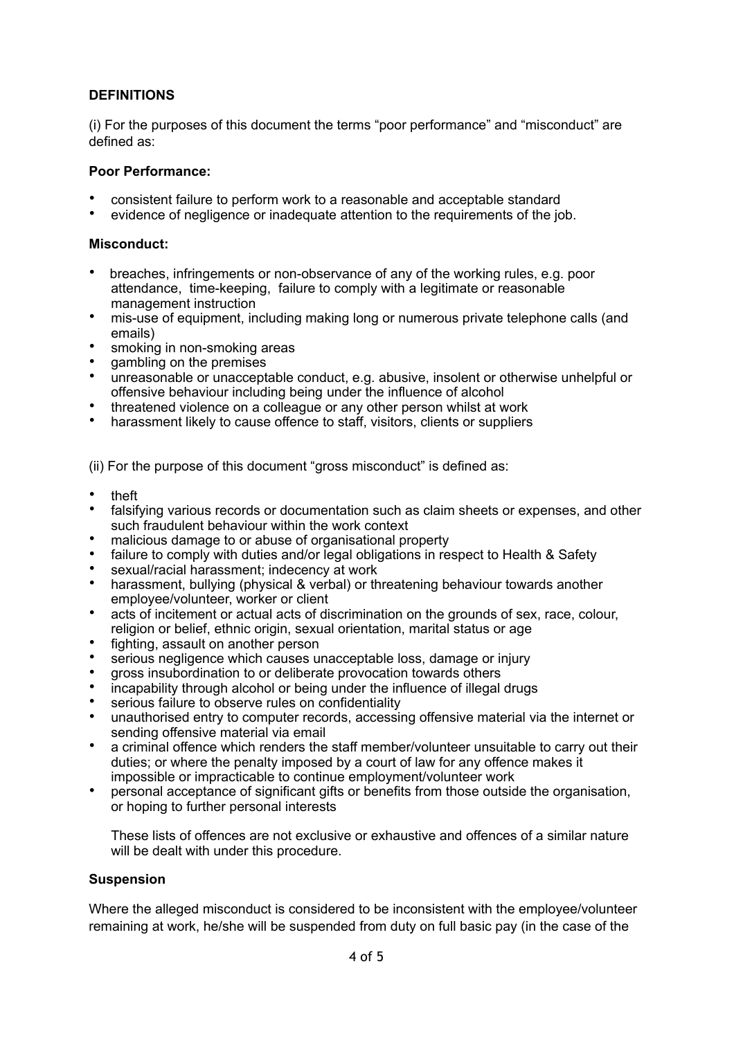# **DEFINITIONS**

(i) For the purposes of this document the terms "poor performance" and "misconduct" are defined as:

# **Poor Performance:**

- consistent failure to perform work to a reasonable and acceptable standard
- evidence of negligence or inadequate attention to the requirements of the job.

### **Misconduct:**

- breaches, infringements or non-observance of any of the working rules, e.g. poor attendance, time-keeping, failure to comply with a legitimate or reasonable management instruction
- mis-use of equipment, including making long or numerous private telephone calls (and emails)
- smoking in non-smoking areas
- gambling on the premises
- unreasonable or unacceptable conduct, e.g. abusive, insolent or otherwise unhelpful or offensive behaviour including being under the influence of alcohol
- threatened violence on a colleague or any other person whilst at work
- harassment likely to cause offence to staff, visitors, clients or suppliers

(ii) For the purpose of this document "gross misconduct" is defined as:

- theft
- falsifying various records or documentation such as claim sheets or expenses, and other such fraudulent behaviour within the work context
- malicious damage to or abuse of organisational property
- failure to comply with duties and/or legal obligations in respect to Health & Safety
- sexual/racial harassment; indecency at work
- harassment, bullying (physical & verbal) or threatening behaviour towards another employee/volunteer, worker or client
- acts of incitement or actual acts of discrimination on the grounds of sex, race, colour, religion or belief, ethnic origin, sexual orientation, marital status or age
- fighting, assault on another person
- serious negligence which causes unacceptable loss, damage or injury
- gross insubordination to or deliberate provocation towards others
- incapability through alcohol or being under the influence of illegal drugs
- serious failure to observe rules on confidentiality
- unauthorised entry to computer records, accessing offensive material via the internet or sending offensive material via email
- a criminal offence which renders the staff member/volunteer unsuitable to carry out their duties; or where the penalty imposed by a court of law for any offence makes it impossible or impracticable to continue employment/volunteer work
- personal acceptance of significant gifts or benefits from those outside the organisation, or hoping to further personal interests

These lists of offences are not exclusive or exhaustive and offences of a similar nature will be dealt with under this procedure.

#### **Suspension**

Where the alleged misconduct is considered to be inconsistent with the employee/volunteer remaining at work, he/she will be suspended from duty on full basic pay (in the case of the